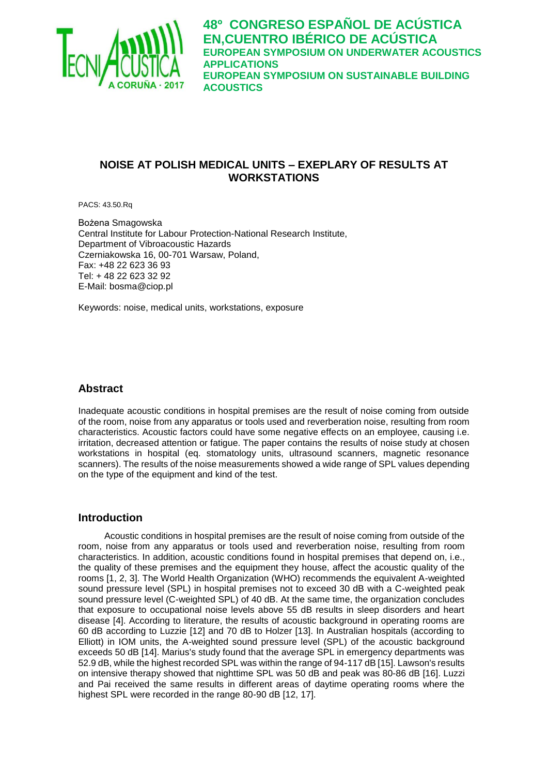

# **NOISE AT POLISH MEDICAL UNITS – EXEPLARY OF RESULTS AT WORKSTATIONS**

PACS: 43.50.Rq

Bożena Smagowska Central Institute for Labour Protection-National Research Institute, Department of Vibroacoustic Hazards Czerniakowska 16, 00-701 Warsaw, Poland, Fax: +48 22 623 36 93 Tel: + 48 22 623 32 92 E-Mail: bosma@ciop.pl

Keywords: noise, medical units, workstations, exposure

### **Abstract**

Inadequate acoustic conditions in hospital premises are the result of noise coming from outside of the room, noise from any apparatus or tools used and reverberation noise, resulting from room characteristics. Acoustic factors could have some negative effects on an employee, causing i.e. irritation, decreased attention or fatigue. The paper contains the results of noise study at chosen workstations in hospital (eq. stomatology units, ultrasound scanners, magnetic resonance scanners). The results of the noise measurements showed a wide range of SPL values depending on the type of the equipment and kind of the test.

### **Introduction**

Acoustic conditions in hospital premises are the result of noise coming from outside of the room, noise from any apparatus or tools used and reverberation noise, resulting from room characteristics. In addition, acoustic conditions found in hospital premises that depend on, i.e., the quality of these premises and the equipment they house, affect the acoustic quality of the rooms [1, 2, 3]. The World Health Organization (WHO) recommends the equivalent A-weighted sound pressure level (SPL) in hospital premises not to exceed 30 dB with a C-weighted peak sound pressure level (C-weighted SPL) of 40 dB. At the same time, the organization concludes that exposure to occupational noise levels above 55 dB results in sleep disorders and heart disease [4]. According to literature, the results of acoustic background in operating rooms are 60 dB according to Luzzie [12] and 70 dB to Holzer [13]. In Australian hospitals (according to Elliott) in IOM units, the A-weighted sound pressure level (SPL) of the acoustic background exceeds 50 dB [14]. Marius's study found that the average SPL in emergency departments was 52.9 dB, while the highest recorded SPL was within the range of 94-117 dB [15]. Lawson's results on intensive therapy showed that nighttime SPL was 50 dB and peak was 80-86 dB [16]. Luzzi and Pai received the same results in different areas of daytime operating rooms where the highest SPL were recorded in the range 80-90 dB [12, 17].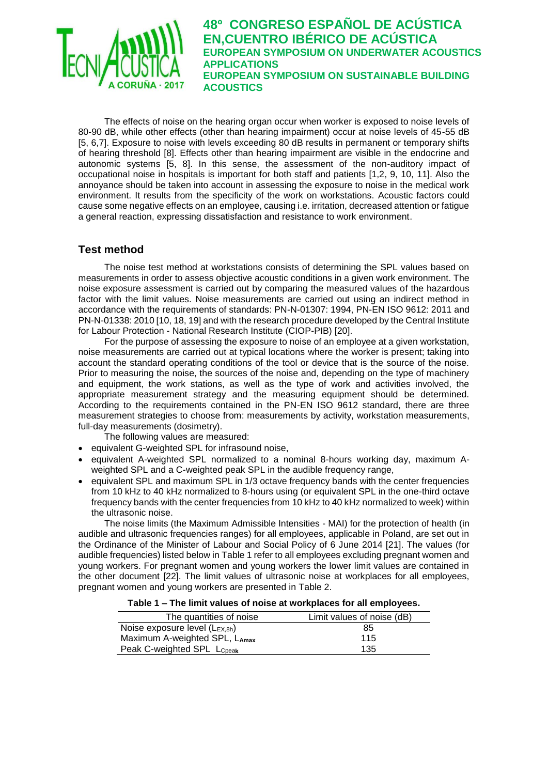

The effects of noise on the hearing organ occur when worker is exposed to noise levels of 80-90 dB, while other effects (other than hearing impairment) occur at noise levels of 45-55 dB [5, 6,7]. Exposure to noise with levels exceeding 80 dB results in permanent or temporary shifts of hearing threshold [8]. Effects other than hearing impairment are visible in the endocrine and autonomic systems [5, 8]. In this sense, the assessment of the non-auditory impact of occupational noise in hospitals is important for both staff and patients [1,2, 9, 10, 11]. Also the annoyance should be taken into account in assessing the exposure to noise in the medical work environment. It results from the specificity of the work on workstations. Acoustic factors could cause some negative effects on an employee, causing i.e. irritation, decreased attention or fatigue a general reaction, expressing dissatisfaction and resistance to work environment.

## **Test method**

The noise test method at workstations consists of determining the SPL values based on measurements in order to assess objective acoustic conditions in a given work environment. The noise exposure assessment is carried out by comparing the measured values of the hazardous factor with the limit values. Noise measurements are carried out using an indirect method in accordance with the requirements of standards: PN-N-01307: 1994, PN-EN ISO 9612: 2011 and PN-N-01338: 2010 [10, 18, 19] and with the research procedure developed by the Central Institute for Labour Protection - National Research Institute (CIOP-PIB) [20].

For the purpose of assessing the exposure to noise of an employee at a given workstation, noise measurements are carried out at typical locations where the worker is present; taking into account the standard operating conditions of the tool or device that is the source of the noise. Prior to measuring the noise, the sources of the noise and, depending on the type of machinery and equipment, the work stations, as well as the type of work and activities involved, the appropriate measurement strategy and the measuring equipment should be determined. According to the requirements contained in the PN-EN ISO 9612 standard, there are three measurement strategies to choose from: measurements by activity, workstation measurements, full-day measurements (dosimetry).

The following values are measured:

- equivalent G-weighted SPL for infrasound noise,
- equivalent A-weighted SPL normalized to a nominal 8-hours working day, maximum Aweighted SPL and a C-weighted peak SPL in the audible frequency range.
- equivalent SPL and maximum SPL in 1/3 octave frequency bands with the center frequencies from 10 kHz to 40 kHz normalized to 8-hours using (or equivalent SPL in the one-third octave frequency bands with the center frequencies from 10 kHz to 40 kHz normalized to week) within the ultrasonic noise.

The noise limits (the Maximum Admissible Intensities - MAI) for the protection of health (in audible and ultrasonic frequencies ranges) for all employees, applicable in Poland, are set out in the Ordinance of the Minister of Labour and Social Policy of 6 June 2014 [21]. The values (for audible frequencies) listed below in Table 1 refer to all employees excluding pregnant women and young workers. For pregnant women and young workers the lower limit values are contained in the other document [22]. The limit values of ultrasonic noise at workplaces for all employees, pregnant women and young workers are presented in Table 2.

#### **Table 1 – The limit values of noise at workplaces for all employees.**

| The quantities of noise       | Limit values of noise (dB) |
|-------------------------------|----------------------------|
| Noise exposure level (LEX,8h) | 85                         |
| Maximum A-weighted SPL, LAmax | 115                        |
| Peak C-weighted SPL LCpeak    | 135                        |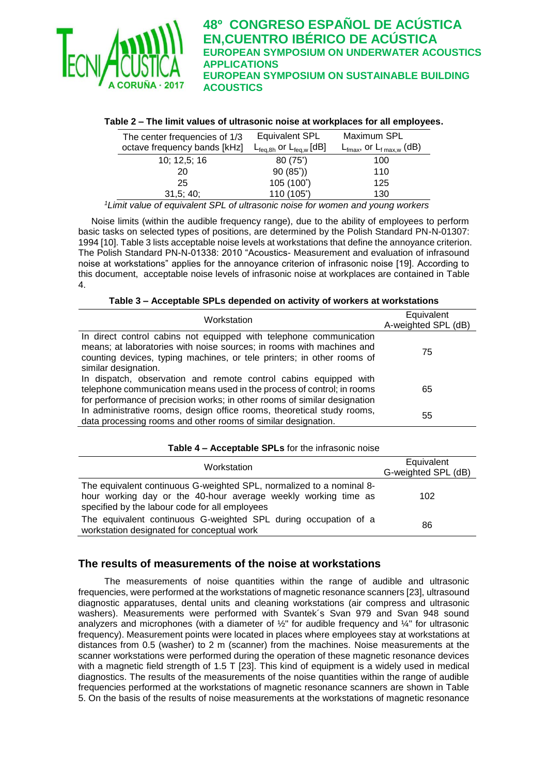

### **Table 2 – The limit values of ultrasonic noise at workplaces for all employees.**

| The center frequencies of 1/3 | Equivalent SPL                                 | Maximum SPL                                      |
|-------------------------------|------------------------------------------------|--------------------------------------------------|
| octave frequency bands [kHz]  | $L_{\text{feq,8h}}$ or $L_{\text{feq,w}}$ [dB] | $L_{\text{fmax}}$ , or $L_{\text{f max},w}$ (dB) |
| 10; 12,5; 16                  | 80 (75*)                                       | 100                                              |
| 20                            | 90(85))                                        | 110                                              |
| 25                            | 105 (100*)                                     | 125                                              |
| 31,5;40;                      | 110 (105*)                                     | 130                                              |

*<sup>1</sup>Limit value of equivalent SPL of ultrasonic noise for women and young workers*

Noise limits (within the audible frequency range), due to the ability of employees to perform basic tasks on selected types of positions, are determined by the Polish Standard PN-N-01307: 1994 [10]. Table 3 lists acceptable noise levels at workstations that define the annoyance criterion. The Polish Standard PN-N-01338: 2010 "Acoustics- Measurement and evaluation of infrasound noise at workstations" applies for the annoyance criterion of infrasonic noise [19]. According to this document, acceptable noise levels of infrasonic noise at workplaces are contained in Table 4.

|  |  | Table 3 – Acceptable SPLs depended on activity of workers at workstations |  |  |
|--|--|---------------------------------------------------------------------------|--|--|
|--|--|---------------------------------------------------------------------------|--|--|

| Workstation                                                                                                                                                                                                                                   | Equivalent<br>A-weighted SPL (dB) |
|-----------------------------------------------------------------------------------------------------------------------------------------------------------------------------------------------------------------------------------------------|-----------------------------------|
| In direct control cabins not equipped with telephone communication<br>means; at laboratories with noise sources; in rooms with machines and<br>counting devices, typing machines, or tele printers; in other rooms of<br>similar designation. | 75                                |
| In dispatch, observation and remote control cabins equipped with<br>telephone communication means used in the process of control; in rooms<br>for performance of precision works; in other rooms of similar designation                       | 65                                |
| In administrative rooms, design office rooms, theoretical study rooms,<br>data processing rooms and other rooms of similar designation.                                                                                                       | 55                                |

#### **Table 4 – Acceptable SPLs** for the infrasonic noise

| Workstation                                                                                                                                                                              | Equivalent<br>G-weighted SPL (dB) |
|------------------------------------------------------------------------------------------------------------------------------------------------------------------------------------------|-----------------------------------|
| The equivalent continuous G-weighted SPL, normalized to a nominal 8-<br>hour working day or the 40-hour average weekly working time as<br>specified by the labour code for all employees | 102                               |
| The equivalent continuous G-weighted SPL during occupation of a<br>workstation designated for conceptual work                                                                            | 86                                |

### **The results of measurements of the noise at workstations**

The measurements of noise quantities within the range of audible and ultrasonic frequencies, were performed at the workstations of magnetic resonance scanners [23], ultrasound diagnostic apparatuses, dental units and cleaning workstations (air compress and ultrasonic washers). Measurements were performed with Svantek´s Svan 979 and Svan 948 sound analyzers and microphones (with a diameter of  $\frac{1}{2}$ " for audible frequency and  $\frac{1}{4}$ " for ultrasonic frequency). Measurement points were located in places where employees stay at workstations at distances from 0.5 (washer) to 2 m (scanner) from the machines. Noise measurements at the scanner workstations were performed during the operation of these magnetic resonance devices with a magnetic field strength of 1.5 T [23]. This kind of equipment is a widely used in medical diagnostics. The results of the measurements of the noise quantities within the range of audible frequencies performed at the workstations of magnetic resonance scanners are shown in Table 5. On the basis of the results of noise measurements at the workstations of magnetic resonance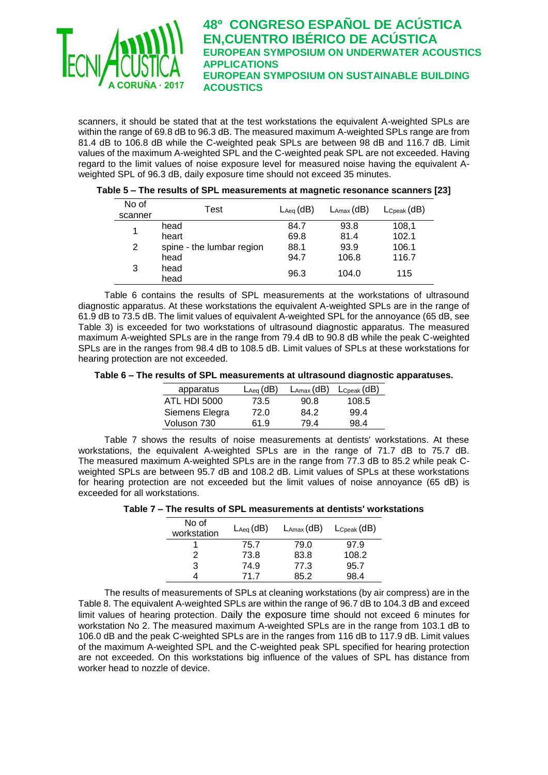

scanners, it should be stated that at the test workstations the equivalent A-weighted SPLs are within the range of 69.8 dB to 96.3 dB. The measured maximum A-weighted SPLs range are from 81.4 dB to 106.8 dB while the C-weighted peak SPLs are between 98 dB and 116.7 dB. Limit values of the maximum A-weighted SPL and the C-weighted peak SPL are not exceeded. Having regard to the limit values of noise exposure level for measured noise having the equivalent Aweighted SPL of 96.3 dB, daily exposure time should not exceed 35 minutes.

| Table 5 – The results of SPL measurements at magnetic resonance scanners [23] |  |
|-------------------------------------------------------------------------------|--|
|                                                                               |  |

| No of<br>scanner | Test                      | $\mathsf{L}_{\mathsf{Aeq}}(\mathsf{dB})$ | $L_{\text{Amax}}$ (dB) | $L_{\rm{Cpeak}}$ (dB) |
|------------------|---------------------------|------------------------------------------|------------------------|-----------------------|
| 1                | head                      | 84.7                                     | 93.8                   | 108,1                 |
|                  | heart                     | 69.8                                     | 81.4                   | 102.1                 |
| 2                | spine - the lumbar region | 88.1                                     | 93.9                   | 106.1                 |
|                  | head                      | 94.7                                     | 106.8                  | 116.7                 |
| 3                | head<br>head              | 96.3                                     | 104.0                  | 115                   |

Table 6 contains the results of SPL measurements at the workstations of ultrasound diagnostic apparatus. At these workstations the equivalent A-weighted SPLs are in the range of 61.9 dB to 73.5 dB. The limit values of equivalent A-weighted SPL for the annoyance (65 dB, see Table 3) is exceeded for two workstations of ultrasound diagnostic apparatus. The measured maximum A-weighted SPLs are in the range from 79.4 dB to 90.8 dB while the peak C-weighted SPLs are in the ranges from 98.4 dB to 108.5 dB. Limit values of SPLs at these workstations for hearing protection are not exceeded.

**Table 6 – The results of SPL measurements at ultrasound diagnostic apparatuses.**

| apparatus      | $\mathsf{L}_{\mathsf{Aeq}}$ (dB) | $L_{\text{Amax}}$ (dB) | $L_{\text{Cpeak}}$ (dB) |
|----------------|----------------------------------|------------------------|-------------------------|
| ATL HDI 5000   | 73.5                             | 90.8                   | 108.5                   |
| Siemens Elegra | 72.0                             | 84.2                   | 99.4                    |
| Voluson 730    | 61.9                             | 79.4                   | 98.4                    |

Table 7 shows the results of noise measurements at dentists' workstations. At these workstations, the equivalent A-weighted SPLs are in the range of 71.7 dB to 75.7 dB. The measured maximum A-weighted SPLs are in the range from 77.3 dB to 85.2 while peak Cweighted SPLs are between 95.7 dB and 108.2 dB. Limit values of SPLs at these workstations for hearing protection are not exceeded but the limit values of noise annoyance (65 dB) is exceeded for all workstations.

**Table 7 – The results of SPL measurements at dentists' workstations**

| No of<br>workstation | $\mathsf{L}_{\mathsf{Aeq}}$ (dB) | $L_{\text{Amax}}$ (dB) | $L_{\rm{Cpeak}}$ (dB) |
|----------------------|----------------------------------|------------------------|-----------------------|
|                      | 75.7                             | 79.0                   | 97.9                  |
|                      | 73.8                             | 83.8                   | 108.2                 |
| 3                    | 74.9                             | 77.3                   | 95.7                  |
|                      | 71 7                             | 85.2                   | 98 4                  |

The results of measurements of SPLs at cleaning workstations (by air compress) are in the Table 8. The equivalent A-weighted SPLs are within the range of 96.7 dB to 104.3 dB and exceed limit values of hearing protection. Daily the exposure time should not exceed 6 minutes for workstation No 2. The measured maximum A-weighted SPLs are in the range from 103.1 dB to 106.0 dB and the peak C-weighted SPLs are in the ranges from 116 dB to 117.9 dB. Limit values of the maximum A-weighted SPL and the C-weighted peak SPL specified for hearing protection are not exceeded. On this workstations big influence of the values of SPL has distance from worker head to nozzle of device.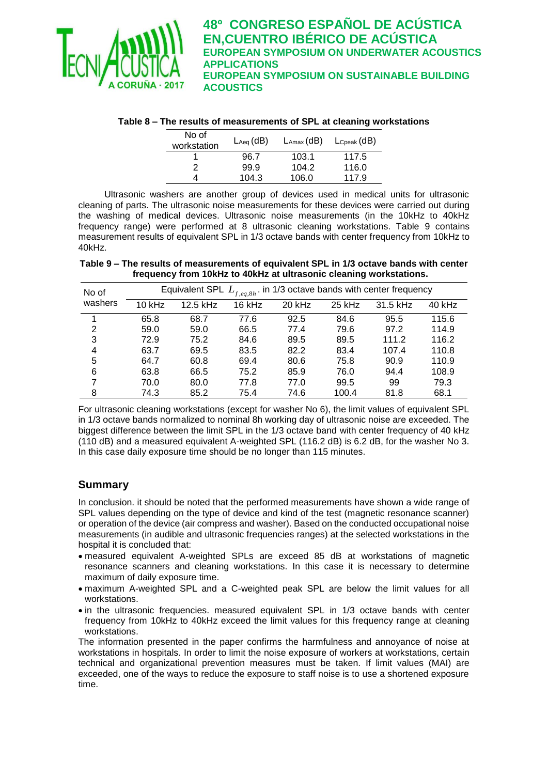

|  |  | Table 8 – The results of measurements of SPL at cleaning workstations |
|--|--|-----------------------------------------------------------------------|
|--|--|-----------------------------------------------------------------------|

| No of<br>workstation | $\mathsf{L}_{\mathsf{Aeq}}(\mathsf{dB})$ | $L_{\text{Amax}}$ (dB) | $L_{\rm Cpeak}$ (dB) |
|----------------------|------------------------------------------|------------------------|----------------------|
|                      | 96.7                                     | 103.1                  | 117.5                |
| 2                    | 99.9                                     | 104.2                  | 116.0                |
|                      | 104.3                                    | 106.0                  | 117.9                |

Ultrasonic washers are another group of devices used in medical units for ultrasonic cleaning of parts. The ultrasonic noise measurements for these devices were carried out during the washing of medical devices. Ultrasonic noise measurements (in the 10kHz to 40kHz frequency range) were performed at 8 ultrasonic cleaning workstations. Table 9 contains measurement results of equivalent SPL in 1/3 octave bands with center frequency from 10kHz to 40kHz.

**Table 9 – The results of measurements of equivalent SPL in 1/3 octave bands with center frequency from 10kHz to 40kHz at ultrasonic cleaning workstations.**

| No of   |        |          | Equivalent SPL $L_{f,eq,8h}$ . in 1/3 octave bands with center frequency |        |        |          |        |
|---------|--------|----------|--------------------------------------------------------------------------|--------|--------|----------|--------|
| washers | 10 kHz | 12.5 kHz | 16 kHz                                                                   | 20 kHz | 25 kHz | 31.5 kHz | 40 kHz |
| 1       | 65.8   | 68.7     | 77.6                                                                     | 92.5   | 84.6   | 95.5     | 115.6  |
| 2       | 59.0   | 59.0     | 66.5                                                                     | 77.4   | 79.6   | 97.2     | 114.9  |
| 3       | 72.9   | 75.2     | 84.6                                                                     | 89.5   | 89.5   | 111.2    | 116.2  |
| 4       | 63.7   | 69.5     | 83.5                                                                     | 82.2   | 83.4   | 107.4    | 110.8  |
| 5       | 64.7   | 60.8     | 69.4                                                                     | 80.6   | 75.8   | 90.9     | 110.9  |
| 6       | 63.8   | 66.5     | 75.2                                                                     | 85.9   | 76.0   | 94.4     | 108.9  |
| 7       | 70.0   | 80.0     | 77.8                                                                     | 77.0   | 99.5   | 99       | 79.3   |
| 8       | 74.3   | 85.2     | 75.4                                                                     | 74.6   | 100.4  | 81.8     | 68.1   |

For ultrasonic cleaning workstations (except for washer No 6), the limit values of equivalent SPL in 1/3 octave bands normalized to nominal 8h working day of ultrasonic noise are exceeded. The biggest difference between the limit SPL in the 1/3 octave band with center frequency of 40 kHz (110 dB) and a measured equivalent A-weighted SPL (116.2 dB) is 6.2 dB, for the washer No 3. In this case daily exposure time should be no longer than 115 minutes.

## **Summary**

In conclusion. it should be noted that the performed measurements have shown a wide range of SPL values depending on the type of device and kind of the test (magnetic resonance scanner) or operation of the device (air compress and washer). Based on the conducted occupational noise measurements (in audible and ultrasonic frequencies ranges) at the selected workstations in the hospital it is concluded that:

- measured equivalent A-weighted SPLs are exceed 85 dB at workstations of magnetic resonance scanners and cleaning workstations. In this case it is necessary to determine maximum of daily exposure time.
- maximum A-weighted SPL and a C-weighted peak SPL are below the limit values for all workstations.
- in the ultrasonic frequencies. measured equivalent SPL in 1/3 octave bands with center frequency from 10kHz to 40kHz exceed the limit values for this frequency range at cleaning workstations.

The information presented in the paper confirms the harmfulness and annoyance of noise at workstations in hospitals. In order to limit the noise exposure of workers at workstations, certain technical and organizational prevention measures must be taken. If limit values (MAI) are exceeded, one of the ways to reduce the exposure to staff noise is to use a shortened exposure time.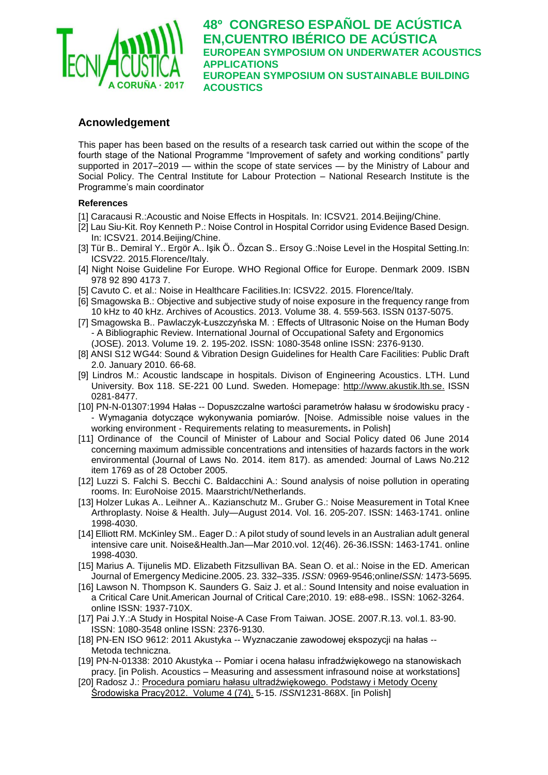

### **Acnowledgement**

This paper has been based on the results of a research task carried out within the scope of the fourth stage of the National Programme "Improvement of safety and working conditions" partly supported in 2017–2019 — within the scope of state services — by the Ministry of Labour and Social Policy. The Central Institute for Labour Protection – National Research Institute is the Programme's main coordinator

### **References**

- [1] Caracausi R.:Acoustic and Noise Effects in Hospitals*.* In: ICSV21. 2014.Beijing/Chine.
- [2] Lau Siu-Kit. Roy Kenneth P.: Noise Control in Hospital Corridor using Evidence Based Design*.*  In: ICSV21. 2014.Beijing/Chine.
- [3] Tür B.. Demiral Y.. Ergör A.. Işik Ӧ.. Ӧzcan S.. Ersoy G.:Noise Level in the Hospital Setting.In: ICSV22. 2015.Florence/Italy.
- [4] Night Noise Guideline For Europe. WHO Regional Office for Europe. Denmark 2009. ISBN 978 92 890 4173 7.
- [5] Cavuto C. et al.: Noise in Healthcare Facilities.In: ICSV22. 2015. Florence/Italy.
- [6] Smagowska B.: Objective and subjective study of noise exposure in the frequency range from 10 kHz to 40 kHz. Archives of Acoustics. 2013. Volume 38. 4. 559-563. ISSN 0137-5075.
- [7] Smagowska B.. Pawlaczyk-Łuszczyńska M. : Effects of Ultrasonic Noise on the Human Body - A Bibliographic Review. International Journal of Occupational Safety and Ergonomics (JOSE). 2013. Volume 19. 2. 195-202. ISSN: 1080-3548 online ISSN: 2376-9130.
- [8] ANSI S12 WG44: Sound & Vibration Design Guidelines for Health Care Facilities: Public Draft 2.0. January 2010. 66-68.
- [9] Lindros M.: Acoustic landscape in hospitals. Divison of Engineering Acoustics. LTH. Lund University. Box 118. SE-221 00 Lund. Sweden. Homepage: [http://www.akustik.lth.se.](http://www.akustik.lth.se/) ISSN 0281-8477.
- [10] PN-N-01307:1994 Hałas -- Dopuszczalne wartości parametrów hałasu w środowisku pracy - Wymagania dotyczące wykonywania pomiarów. [Noise. Admissible noise values in the working environment - Requirements relating to measurements**.** in Polish]
- [11] Ordinance of the Council of Minister of Labour and Social Policy dated 06 June 2014 concerning maximum admissible concentrations and intensities of hazards factors in the work environmental (Journal of Laws No. 2014. item 817). as amended: Journal of Laws No.212 item 1769 as of 28 October 2005.
- [12] Luzzi S. Falchi S. Becchi C. Baldacchini A.: Sound analysis of noise pollution in operating rooms. In: EuroNoise 2015. Maarstricht/Netherlands.
- [13] Holzer Lukas A.. Leihner A.. Kazianschutz M.. Gruber G.: Noise Measurement in Total Knee Arthroplasty. Noise & Health. July—August 2014. Vol. 16. 205-207. ISSN: 1463-1741. online 1998-4030.
- [14] Elliott RM. McKinley SM.. Eager D.: A pilot study of sound levels in an Australian adult general intensive care unit. Noise&Health.Jan—Mar 2010.vol. 12(46). 26-36.ISSN: 1463-1741. online 1998-4030.
- [15] Marius A. Tijunelis MD. Elizabeth Fitzsullivan BA. Sean O. et al.: Noise in the ED. American Journal of Emergency Medicine.2005. 23. 332–335. *ISSN:* 0969-9546;online*ISSN:* 1473-5695*.*
- [16] Lawson N. Thompson K. Saunders G. Saiz J. et al.: Sound Intensity and noise evaluation in a Critical Care Unit.American Journal of Critical Care;2010. 19: e88-e98.. ISSN: 1062-3264. online ISSN: 1937-710X.
- [17] Pai J.Y.:A Study in Hospital Noise-A Case From Taiwan. JOSE. 2007.R.13. vol.1. 83-90. ISSN: 1080-3548 online ISSN: 2376-9130.
- [18] PN-EN ISO 9612: 2011 Akustyka -- Wyznaczanie zawodowej ekspozycji na hałas -- Metoda techniczna.
- [19] PN-N-01338: 2010 Akustyka -- Pomiar i ocena hałasu infradźwiękowego na stanowiskach pracy. [in Polish. Acoustics – Measuring and assessment infrasound noise at workstations]
- [20] Radosz J.: [Procedura pomiaru hałasu ultradźwiękowego.](javascript:open_window(%22/F?func=service&doc_number=000056410&line_number=0010&service_type=TAG%22);) [Podstawy i Metody Oceny](https://pbn.nauka.gov.pl/polindex-webapp/browse/journal/journal-0f1c09fb-f35a-4ee7-9c96-86dd490dbca4;jsessionid=45026563F81DDD148E770B987A43EB4A)  [Środowiska Pracy2](https://pbn.nauka.gov.pl/polindex-webapp/browse/journal/journal-0f1c09fb-f35a-4ee7-9c96-86dd490dbca4;jsessionid=45026563F81DDD148E770B987A43EB4A)012. [Volume 4 \(74\).](https://pbn.nauka.gov.pl/polindex-webapp/browse/issue/journalissue-4d914932-0867-4fea-9216-97efc2312f16;jsessionid=45026563F81DDD148E770B987A43EB4A) 5-15. *ISSN*1231-868X. [in Polish]